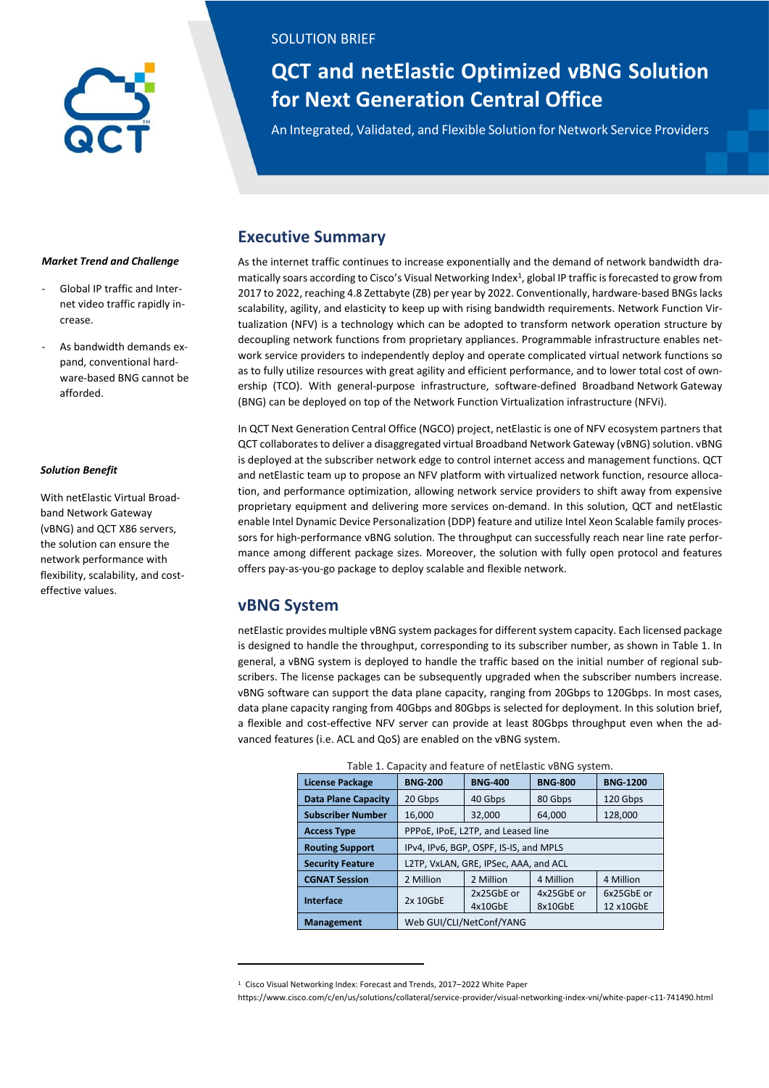## SOLUTION BRIEF SOLUTION BRIEF

# **for Next Generation Central Office QCT and netElastic Optimized vBNG Solution**

An Integrated, Validated, and Flexible Solution for Network Service Providers

## **Executive Summary**

As the internet traffic continues to increase exponentially and the demand of network bandwidth dramatically soars according to Cisco's Visual Networking Index<sup>1</sup>, global IP traffic is forecasted to grow from 2017 to 2022, reaching 4.8 Zettabyte (ZB) per year by 2022. Conventionally, hardware-based BNGs lacks scalability, agility, and elasticity to keep up with rising bandwidth requirements. Network Function Virtualization (NFV) is a technology which can be adopted to transform network operation structure by decoupling network functions from proprietary appliances. Programmable infrastructure enables network service providers to independently deploy and operate complicated virtual network functions so as to fully utilize resources with great agility and efficient performance, and to lower total cost of ownership (TCO). With general-purpose infrastructure, software-defined Broadband Network Gateway (BNG) can be deployed on top of the Network Function Virtualization infrastructure (NFVi).

In QCT Next Generation Central Office (NGCO) project, netElastic is one of NFV ecosystem partners that QCT collaboratesto deliver a disaggregated virtual Broadband Network Gateway (vBNG) solution. vBNG is deployed at the subscriber network edge to control internet access and management functions. QCT and netElastic team up to propose an NFV platform with virtualized network function, resource allocation, and performance optimization, allowing network service providers to shift away from expensive proprietary equipment and delivering more services on-demand. In this solution, QCT and netElastic enable Intel Dynamic Device Personalization (DDP) feature and utilize Intel Xeon Scalable family processors for high-performance vBNG solution. The throughput can successfully reach near line rate performance among different package sizes. Moreover, the solution with fully open protocol and features offers pay-as-you-go package to deploy scalable and flexible network.

## **vBNG System**

 $\overline{a}$ 

netElastic provides multiple vBNG system packages for different system capacity. Each licensed package is designed to handle the throughput, corresponding to its subscriber number, as shown in Table 1. In general, a vBNG system is deployed to handle the traffic based on the initial number of regional subscribers. The license packages can be subsequently upgraded when the subscriber numbers increase. vBNG software can support the data plane capacity, ranging from 20Gbps to 120Gbps. In most cases, data plane capacity ranging from 40Gbps and 80Gbps is selected for deployment. In this solution brief, a flexible and cost-effective NFV server can provide at least 80Gbps throughput even when the advanced features (i.e. ACL and QoS) are enabled on the vBNG system.

| Table 1. Capacity and feature of netElastic vBNG system. |                                        |                |                |                 |  |  |
|----------------------------------------------------------|----------------------------------------|----------------|----------------|-----------------|--|--|
| <b>License Package</b>                                   | <b>BNG-200</b>                         | <b>BNG-400</b> | <b>BNG-800</b> | <b>BNG-1200</b> |  |  |
| <b>Data Plane Capacity</b>                               | 20 Gbps                                | 40 Gbps        | 80 Gbps        | 120 Gbps        |  |  |
| <b>Subscriber Number</b>                                 | 16.000                                 | 32,000         | 64,000         | 128,000         |  |  |
| <b>Access Type</b>                                       | PPPoE, IPoE, L2TP, and Leased line     |                |                |                 |  |  |
| <b>Routing Support</b>                                   | IPv4, IPv6, BGP, OSPF, IS-IS, and MPLS |                |                |                 |  |  |
| <b>Security Feature</b>                                  | L2TP, VxLAN, GRE, IPSec, AAA, and ACL  |                |                |                 |  |  |
| <b>CGNAT Session</b>                                     | 2 Million                              | 2 Million      | 4 Million      | 4 Million       |  |  |
| Interface                                                | 2x 10GbE                               | 2x25GbE or     | 4x25GbE or     | 6x25GbE or      |  |  |
|                                                          |                                        | 4x10GbE        | 8x10GbE        | 12 x10GbE       |  |  |
| <b>Management</b>                                        | Web GUI/CLI/NetConf/YANG               |                |                |                 |  |  |

### *Market Trend and Challenge*

- Global IP traffic and Internet video traffic rapidly increase.
- As bandwidth demands expand, conventional hardware-based BNG cannot be afforded.

### *Solution Benefit*

With netElastic Virtual Broadband Network Gateway (vBNG) and QCT X86 servers, the solution can ensure the network performance with flexibility, scalability, and costeffective values.

<sup>1</sup> Cisco Visual Networking Index: Forecast and Trends, 2017–2022 White Paper

https://www.cisco.com/c/en/us/solutions/collateral/service-provider/visual-networking-index-vni/white-paper-c11-741490.html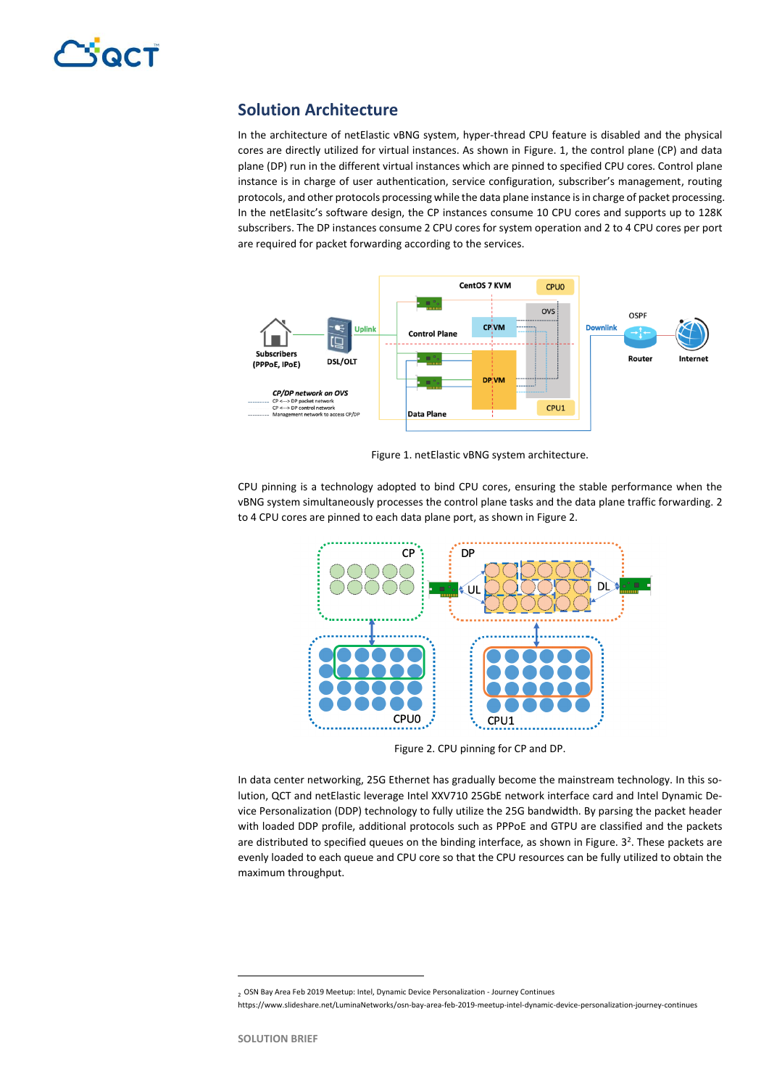## **Solution Architecture**

In the architecture of netElastic vBNG system, hyper-thread CPU feature is disabled and the physical cores are directly utilized for virtual instances. As shown in Figure. 1, the control plane (CP) and data plane (DP) run in the different virtual instances which are pinned to specified CPU cores. Control plane instance is in charge of user authentication, service configuration, subscriber's management, routing protocols, and other protocols processing while the data plane instance is in charge of packet processing. In the netElasitc's software design, the CP instances consume 10 CPU cores and supports up to 128K subscribers. The DP instances consume 2 CPU cores for system operation and 2 to 4 CPU cores per port are required for packet forwarding according to the services.



Figure 1. netElastic vBNG system architecture.

CPU pinning is a technology adopted to bind CPU cores, ensuring the stable performance when the vBNG system simultaneously processes the control plane tasks and the data plane traffic forwarding. 2 to 4 CPU cores are pinned to each data plane port, as shown in Figure 2.



Figure 2. CPU pinning for CP and DP.

In data center networking, 25G Ethernet has gradually become the mainstream technology. In this solution, QCT and netElastic leverage Intel XXV710 25GbE network interface card and Intel Dynamic Device Personalization (DDP) technology to fully utilize the 25G bandwidth. By parsing the packet header with loaded DDP profile, additional protocols such as PPPoE and GTPU are classified and the packets are distributed to specified queues on the binding interface, as shown in Figure. 3<sup>2</sup>. These packets are evenly loaded to each queue and CPU core so that the CPU resources can be fully utilized to obtain the maximum throughput.

 $\overline{a}$ 

<sup>2</sup> OSN Bay Area Feb 2019 Meetup: Intel, Dynamic Device Personalization - Journey Continues

https://www.slideshare.net/LuminaNetworks/osn-bay-area-feb-2019-meetup-intel-dynamic-device-personalization-journey-continues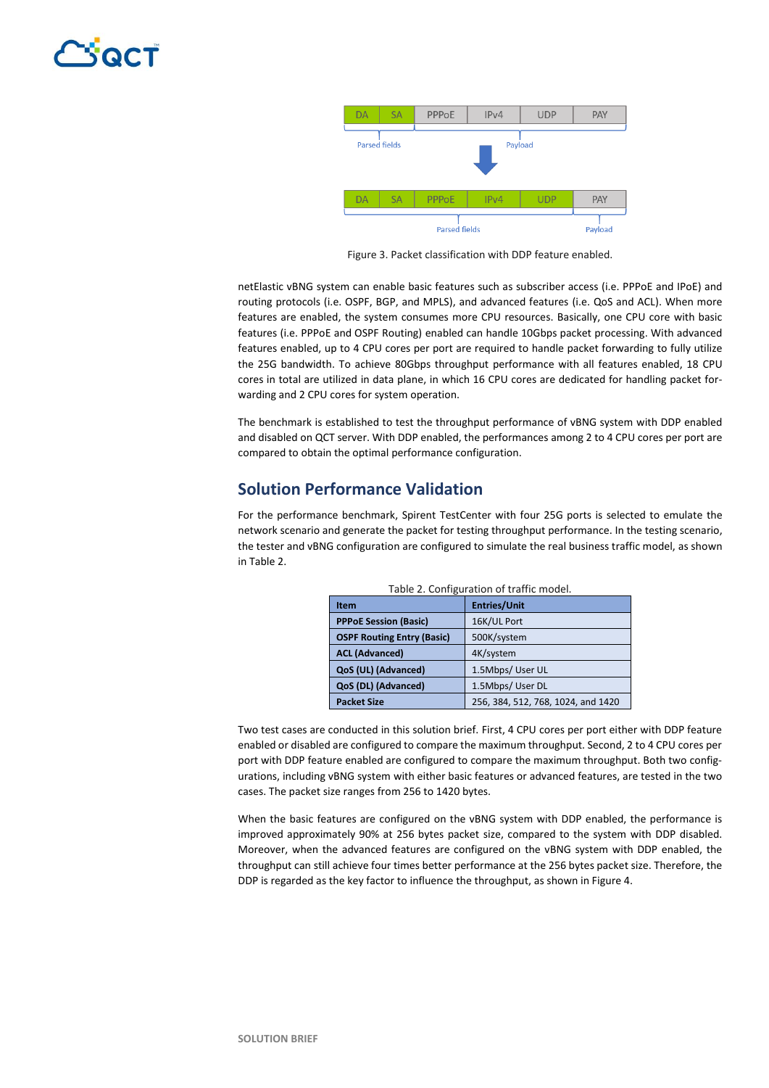

Figure 3. Packet classification with DDP feature enabled.

netElastic vBNG system can enable basic features such as subscriber access (i.e. PPPoE and IPoE) and routing protocols (i.e. OSPF, BGP, and MPLS), and advanced features (i.e. QoS and ACL). When more features are enabled, the system consumes more CPU resources. Basically, one CPU core with basic features (i.e. PPPoE and OSPF Routing) enabled can handle 10Gbps packet processing. With advanced features enabled, up to 4 CPU cores per port are required to handle packet forwarding to fully utilize the 25G bandwidth. To achieve 80Gbps throughput performance with all features enabled, 18 CPU cores in total are utilized in data plane, in which 16 CPU cores are dedicated for handling packet forwarding and 2 CPU cores for system operation.

The benchmark is established to test the throughput performance of vBNG system with DDP enabled and disabled on QCT server. With DDP enabled, the performances among 2 to 4 CPU cores per port are compared to obtain the optimal performance configuration.

## **Solution Performance Validation**

For the performance benchmark, Spirent TestCenter with four 25G ports is selected to emulate the network scenario and generate the packet for testing throughput performance. In the testing scenario, the tester and vBNG configuration are configured to simulate the real business traffic model, as shown in Table 2.

| Table 2. Configuration of traffic model. |                                    |  |  |  |
|------------------------------------------|------------------------------------|--|--|--|
| Item                                     | <b>Entries/Unit</b>                |  |  |  |
| <b>PPPoE Session (Basic)</b>             | 16K/UL Port                        |  |  |  |
| <b>OSPF Routing Entry (Basic)</b>        | 500K/system                        |  |  |  |
| <b>ACL (Advanced)</b>                    | 4K/system                          |  |  |  |
| QoS (UL) (Advanced)                      | 1.5Mbps/ User UL                   |  |  |  |
| QoS (DL) (Advanced)                      | 1.5Mbps/ User DL                   |  |  |  |
| <b>Packet Size</b>                       | 256, 384, 512, 768, 1024, and 1420 |  |  |  |

Two test cases are conducted in this solution brief. First, 4 CPU cores per port either with DDP feature enabled or disabled are configured to compare the maximum throughput. Second, 2 to 4 CPU cores per port with DDP feature enabled are configured to compare the maximum throughput. Both two configurations, including vBNG system with either basic features or advanced features, are tested in the two cases. The packet size ranges from 256 to 1420 bytes.

When the basic features are configured on the vBNG system with DDP enabled, the performance is improved approximately 90% at 256 bytes packet size, compared to the system with DDP disabled. Moreover, when the advanced features are configured on the vBNG system with DDP enabled, the throughput can still achieve four times better performance at the 256 bytes packet size. Therefore, the DDP is regarded as the key factor to influence the throughput, as shown in Figure 4.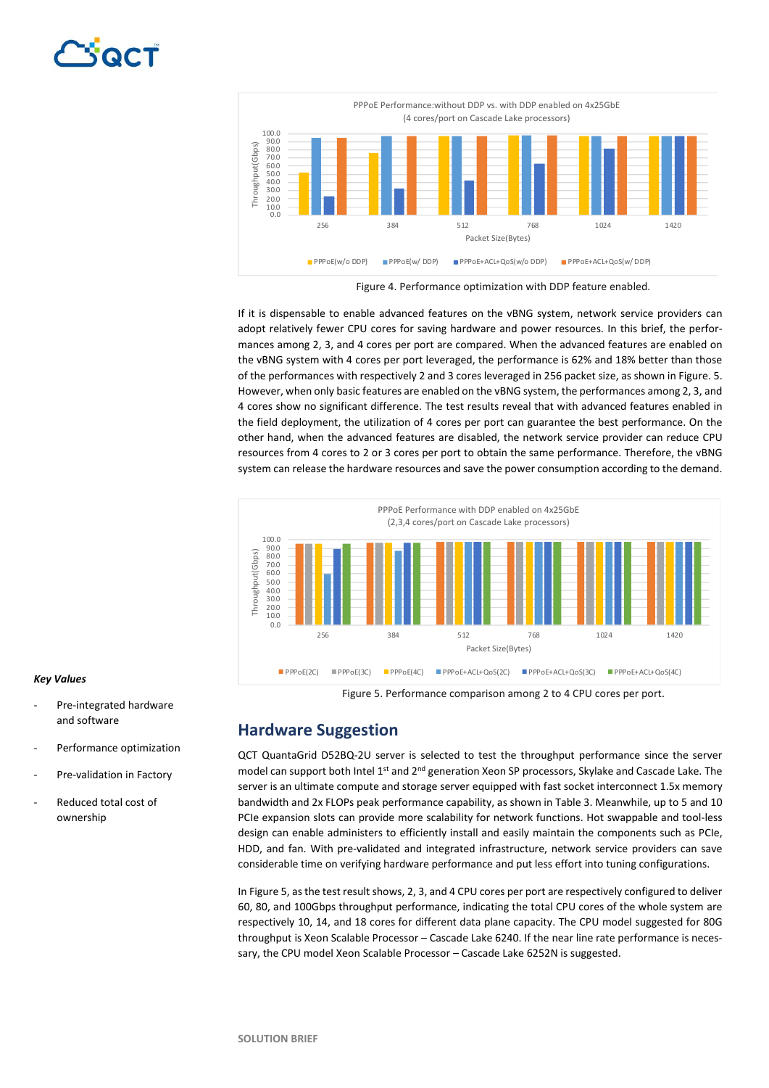

Figure 4. Performance optimization with DDP feature enabled.

If it is dispensable to enable advanced features on the vBNG system, network service providers can adopt relatively fewer CPU cores for saving hardware and power resources. In this brief, the performances among 2, 3, and 4 cores per port are compared. When the advanced features are enabled on the vBNG system with 4 cores per port leveraged, the performance is 62% and 18% better than those of the performances with respectively 2 and 3 cores leveraged in 256 packet size, as shown in Figure. 5. However, when only basic features are enabled on the vBNG system, the performances among 2, 3, and 4 cores show no significant difference. The test results reveal that with advanced features enabled in the field deployment, the utilization of 4 cores per port can guarantee the best performance. On the other hand, when the advanced features are disabled, the network service provider can reduce CPU resources from 4 cores to 2 or 3 cores per port to obtain the same performance. Therefore, the vBNG system can release the hardware resources and save the power consumption according to the demand.



### Figure 5. Performance comparison among 2 to 4 CPU cores per port.

## **Hardware Suggestion**

QCT QuantaGrid D52BQ-2U server is selected to test the throughput performance since the server model can support both Intel 1<sup>st</sup> and 2<sup>nd</sup> generation Xeon SP processors, Skylake and Cascade Lake. The server is an ultimate compute and storage server equipped with fast socket interconnect 1.5x memory bandwidth and 2x FLOPs peak performance capability, as shown in Table 3. Meanwhile, up to 5 and 10 PCIe expansion slots can provide more scalability for network functions. Hot swappable and tool-less design can enable administers to efficiently install and easily maintain the components such as PCIe, HDD, and fan. With pre-validated and integrated infrastructure, network service providers can save considerable time on verifying hardware performance and put less effort into tuning configurations.

In Figure 5, as the test result shows, 2, 3, and 4 CPU cores per port are respectively configured to deliver 60, 80, and 100Gbps throughput performance, indicating the total CPU cores of the whole system are respectively 10, 14, and 18 cores for different data plane capacity. The CPU model suggested for 80G throughput is Xeon Scalable Processor – Cascade Lake 6240. If the near line rate performance is necessary, the CPU model Xeon Scalable Processor – Cascade Lake 6252N is suggested.

### *Key Values*

- Pre-integrated hardware and software
- Performance optimization
- Pre-validation in Factory
- Reduced total cost of ownership